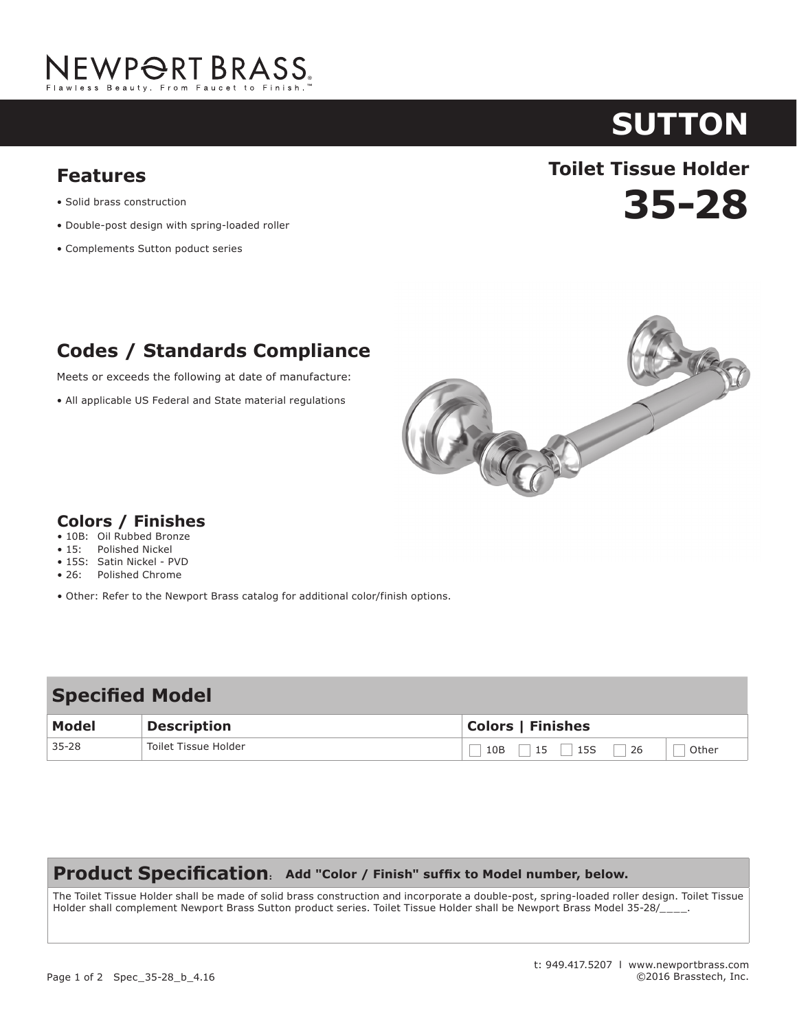

# **sutton**

- Solid brass construction
- Double-post design with spring-loaded roller
- Complements Sutton poduct series

## **35-28 Toilet Tissue Holder Features**

### **Codes / Standards Compliance**

Meets or exceeds the following at date of manufacture:

• All applicable US Federal and State material regulations



#### **Colors / Finishes**

- 10B: Oil Rubbed Bronze
- 15: Polished Nickel
- 15S: Satin Nickel PVD
- 26: Polished Chrome
- Other: Refer to the Newport Brass catalog for additional color/finish options.

| <b>Specified Model</b> |                      |                                   |
|------------------------|----------------------|-----------------------------------|
| Model                  | <b>Description</b>   | <b>Colors   Finishes</b>          |
| $35 - 28$              | Toilet Tissue Holder | 15S<br>15<br>Other<br>10B<br>  26 |

#### **Product Specification: Add "Color / Finish" suffix to Model number, below.**

The Toilet Tissue Holder shall be made of solid brass construction and incorporate a double-post, spring-loaded roller design. Toilet Tissue Holder shall complement Newport Brass Sutton product series. Toilet Tissue Holder shall be Newport Brass Model 35-28/\_\_\_\_.